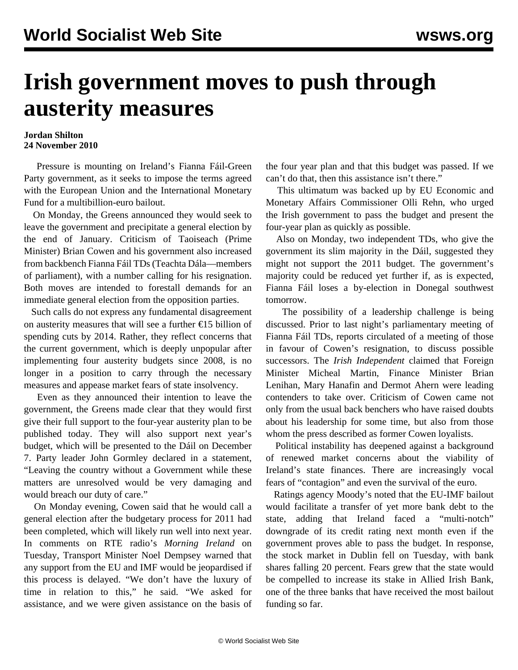## **Irish government moves to push through austerity measures**

## **Jordan Shilton 24 November 2010**

 Pressure is mounting on Ireland's Fianna Fáil-Green Party government, as it seeks to impose the terms agreed with the European Union and the International Monetary Fund for a multibillion-euro bailout.

 On Monday, the Greens announced they would seek to leave the government and precipitate a general election by the end of January. Criticism of Taoiseach (Prime Minister) Brian Cowen and his government also increased from backbench Fianna Fáil TDs (Teachta Dála—members of parliament), with a number calling for his resignation. Both moves are intended to forestall demands for an immediate general election from the opposition parties.

 Such calls do not express any fundamental disagreement on austerity measures that will see a further €15 billion of spending cuts by 2014. Rather, they reflect concerns that the current government, which is deeply unpopular after implementing four austerity budgets since 2008, is no longer in a position to carry through the necessary measures and appease market fears of state insolvency.

 Even as they announced their intention to leave the government, the Greens made clear that they would first give their full support to the four-year austerity plan to be published today. They will also support next year's budget, which will be presented to the Dáil on December 7. Party leader John Gormley declared in a statement, "Leaving the country without a Government while these matters are unresolved would be very damaging and would breach our duty of care."

 On Monday evening, Cowen said that he would call a general election after the budgetary process for 2011 had been completed, which will likely run well into next year. In comments on RTE radio's *Morning Ireland* on Tuesday, Transport Minister Noel Dempsey warned that any support from the EU and IMF would be jeopardised if this process is delayed. "We don't have the luxury of time in relation to this," he said. "We asked for assistance, and we were given assistance on the basis of the four year plan and that this budget was passed. If we can't do that, then this assistance isn't there."

 This ultimatum was backed up by EU Economic and Monetary Affairs Commissioner Olli Rehn, who urged the Irish government to pass the budget and present the four-year plan as quickly as possible.

 Also on Monday, two independent TDs, who give the government its slim majority in the Dáil, suggested they might not support the 2011 budget. The government's majority could be reduced yet further if, as is expected, Fianna Fáil loses a by-election in Donegal southwest tomorrow.

 The possibility of a leadership challenge is being discussed. Prior to last night's parliamentary meeting of Fianna Fáil TDs, reports circulated of a meeting of those in favour of Cowen's resignation, to discuss possible successors. The *Irish Independent* claimed that Foreign Minister Micheal Martin, Finance Minister Brian Lenihan, Mary Hanafin and Dermot Ahern were leading contenders to take over. Criticism of Cowen came not only from the usual back benchers who have raised doubts about his leadership for some time, but also from those whom the press described as former Cowen loyalists.

 Political instability has deepened against a background of renewed market concerns about the viability of Ireland's state finances. There are increasingly vocal fears of "contagion" and even the survival of the euro.

 Ratings agency Moody's noted that the EU-IMF bailout would facilitate a transfer of yet more bank debt to the state, adding that Ireland faced a "multi-notch" downgrade of its credit rating next month even if the government proves able to pass the budget. In response, the stock market in Dublin fell on Tuesday, with bank shares falling 20 percent. Fears grew that the state would be compelled to increase its stake in Allied Irish Bank, one of the three banks that have received the most bailout funding so far.